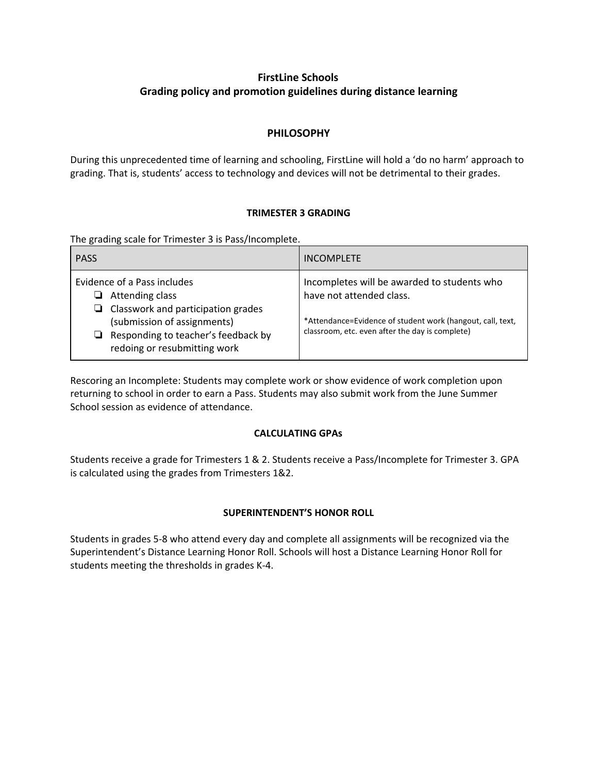# **FirstLine Schools Grading policy and promotion guidelines during distance learning**

## **PHILOSOPHY**

During this unprecedented time of learning and schooling, FirstLine will hold a 'do no harm' approach to grading. That is, students' access to technology and devices will not be detrimental to their grades.

### **TRIMESTER 3 GRADING**

The grading scale for Trimester 3 is Pass/Incomplete.

| <b>PASS</b>                                                                                                                                                                                               | <b>INCOMPLETE</b>                                                                                                                                                                        |
|-----------------------------------------------------------------------------------------------------------------------------------------------------------------------------------------------------------|------------------------------------------------------------------------------------------------------------------------------------------------------------------------------------------|
| Evidence of a Pass includes<br>Attending class<br>ப<br>Classwork and participation grades<br>⊔<br>(submission of assignments)<br>Responding to teacher's feedback by<br>⊔<br>redoing or resubmitting work | Incompletes will be awarded to students who<br>have not attended class.<br>*Attendance=Evidence of student work (hangout, call, text,<br>classroom, etc. even after the day is complete) |

Rescoring an Incomplete: Students may complete work or show evidence of work completion upon returning to school in order to earn a Pass. Students may also submit work from the June Summer School session as evidence of attendance.

### **CALCULATING GPAs**

Students receive a grade for Trimesters 1 & 2. Students receive a Pass/Incomplete for Trimester 3. GPA is calculated using the grades from Trimesters 1&2.

### **SUPERINTENDENT'S HONOR ROLL**

Students in grades 5-8 who attend every day and complete all assignments will be recognized via the Superintendent's Distance Learning Honor Roll. Schools will host a Distance Learning Honor Roll for students meeting the thresholds in grades K-4.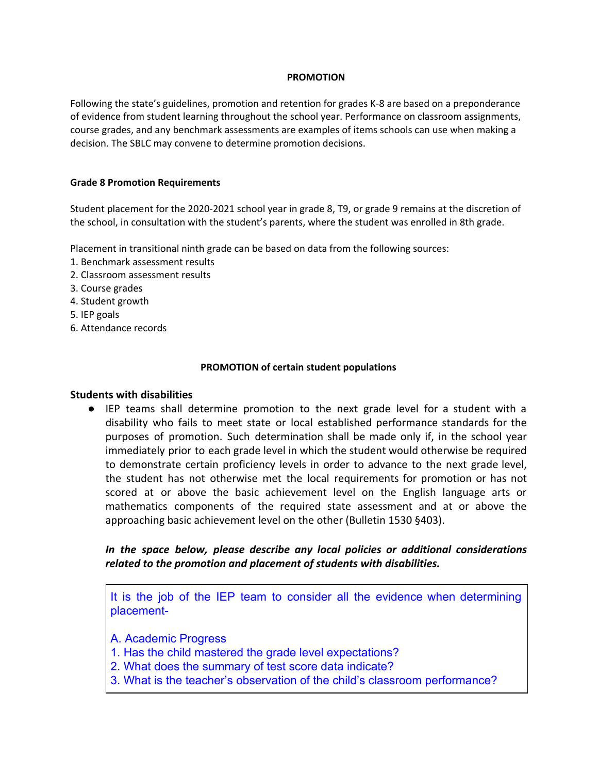### **PROMOTION**

Following the state's guidelines, promotion and retention for grades K-8 are based on a preponderance of evidence from student learning throughout the school year. Performance on classroom assignments, course grades, and any benchmark assessments are examples of items schools can use when making a decision. The SBLC may convene to determine promotion decisions.

### **Grade 8 Promotion Requirements**

Student placement for the 2020-2021 school year in grade 8, T9, or grade 9 remains at the discretion of the school, in consultation with the student's parents, where the student was enrolled in 8th grade.

Placement in transitional ninth grade can be based on data from the following sources:

- 1. Benchmark assessment results
- 2. Classroom assessment results
- 3. Course grades
- 4. Student growth
- 5. IEP goals
- 6. Attendance records

### **PROMOTION of certain student populations**

### **Students with disabilities**

● IEP teams shall determine promotion to the next grade level for a student with a disability who fails to meet state or local established performance standards for the purposes of promotion. Such determination shall be made only if, in the school year immediately prior to each grade level in which the student would otherwise be required to demonstrate certain proficiency levels in order to advance to the next grade level, the student has not otherwise met the local requirements for promotion or has not scored at or above the basic achievement level on the English language arts or mathematics components of the required state assessment and at or above the approaching basic achievement level on the other (Bulletin 1530 §403).

*In the space below, please describe any local policies or additional considerations related to the promotion and placement of students with disabilities.*

It is the job of the IEP team to consider all the evidence when determining placement-

A. Academic Progress

- 1. Has the child mastered the grade level expectations?
- 2. What does the summary of test score data indicate?
- 3. What is the teacher's observation of the child's classroom performance?